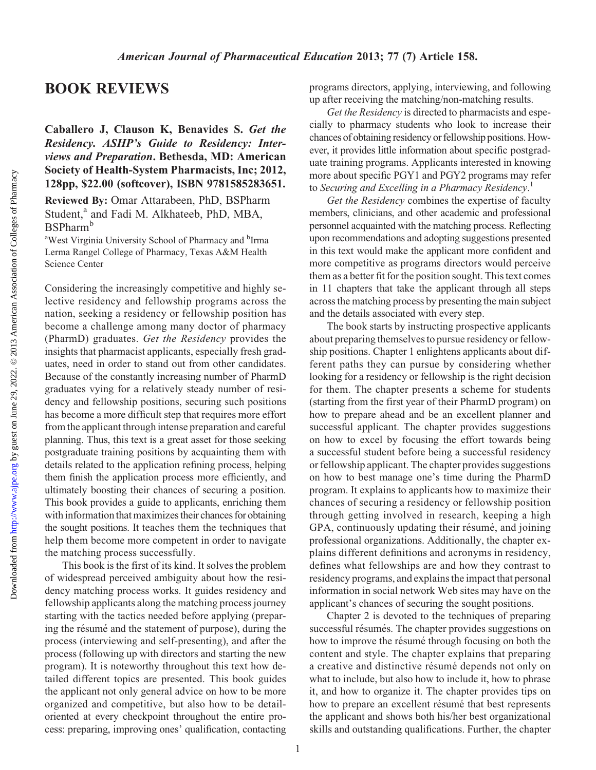Downloaded from

## BOOK REVIEWS

## Caballero J, Clauson K, Benavides S. Get the Residency. ASHP's Guide to Residency: Interviews and Preparation. Bethesda, MD: American Society of Health-System Pharmacists, Inc; 2012, 128pp, \$22.00 (softcover), ISBN 9781585283651.

Reviewed By: Omar Attarabeen, PhD, BSPharm Student,<sup>a</sup> and Fadi M. Alkhateeb, PhD, MBA, BSPharm<sup>b</sup>

<sup>a</sup>West Virginia University School of Pharmacy and <sup>b</sup>Irma Lerma Rangel College of Pharmacy, Texas A&M Health Science Center

Considering the increasingly competitive and highly selective residency and fellowship programs across the nation, seeking a residency or fellowship position has become a challenge among many doctor of pharmacy (PharmD) graduates. Get the Residency provides the insights that pharmacist applicants, especially fresh graduates, need in order to stand out from other candidates. Because of the constantly increasing number of PharmD graduates vying for a relatively steady number of residency and fellowship positions, securing such positions has become a more difficult step that requires more effort from the applicant through intense preparation and careful planning. Thus, this text is a great asset for those seeking postgraduate training positions by acquainting them with details related to the application refining process, helping them finish the application process more efficiently, and ultimately boosting their chances of securing a position. This book provides a guide to applicants, enriching them with information that maximizes their chances for obtaining the sought positions. It teaches them the techniques that help them become more competent in order to navigate the matching process successfully.

This book is the first of its kind. It solves the problem of widespread perceived ambiguity about how the residency matching process works. It guides residency and fellowship applicants along the matching process journey starting with the tactics needed before applying (preparing the résumé and the statement of purpose), during the process (interviewing and self-presenting), and after the process (following up with directors and starting the new program). It is noteworthy throughout this text how detailed different topics are presented. This book guides the applicant not only general advice on how to be more organized and competitive, but also how to be detailoriented at every checkpoint throughout the entire process: preparing, improving ones' qualification, contacting

programs directors, applying, interviewing, and following up after receiving the matching/non-matching results.

Get the Residency is directed to pharmacists and especially to pharmacy students who look to increase their chances of obtaining residency or fellowship positions. However, it provides little information about specific postgraduate training programs. Applicants interested in knowing more about specific PGY1 and PGY2 programs may refer to Securing and Excelling in a Pharmacy Residency.<sup>1</sup>

Get the Residency combines the expertise of faculty members, clinicians, and other academic and professional personnel acquainted with the matching process. Reflecting upon recommendations and adopting suggestions presented in this text would make the applicant more confident and more competitive as programs directors would perceive them as a better fit for the position sought. This text comes in 11 chapters that take the applicant through all steps across the matching process by presenting the main subject and the details associated with every step.

The book starts by instructing prospective applicants about preparing themselves to pursue residency or fellowship positions. Chapter 1 enlightens applicants about different paths they can pursue by considering whether looking for a residency or fellowship is the right decision for them. The chapter presents a scheme for students (starting from the first year of their PharmD program) on how to prepare ahead and be an excellent planner and successful applicant. The chapter provides suggestions on how to excel by focusing the effort towards being a successful student before being a successful residency or fellowship applicant. The chapter provides suggestions on how to best manage one's time during the PharmD program. It explains to applicants how to maximize their chances of securing a residency or fellowship position through getting involved in research, keeping a high GPA, continuously updating their résumé, and joining professional organizations. Additionally, the chapter explains different definitions and acronyms in residency, defines what fellowships are and how they contrast to residency programs, and explains the impact that personal information in social network Web sites may have on the applicant's chances of securing the sought positions.

Chapter 2 is devoted to the techniques of preparing successful résumés. The chapter provides suggestions on how to improve the résumé through focusing on both the content and style. The chapter explains that preparing a creative and distinctive résumé depends not only on what to include, but also how to include it, how to phrase it, and how to organize it. The chapter provides tips on how to prepare an excellent résumé that best represents the applicant and shows both his/her best organizational skills and outstanding qualifications. Further, the chapter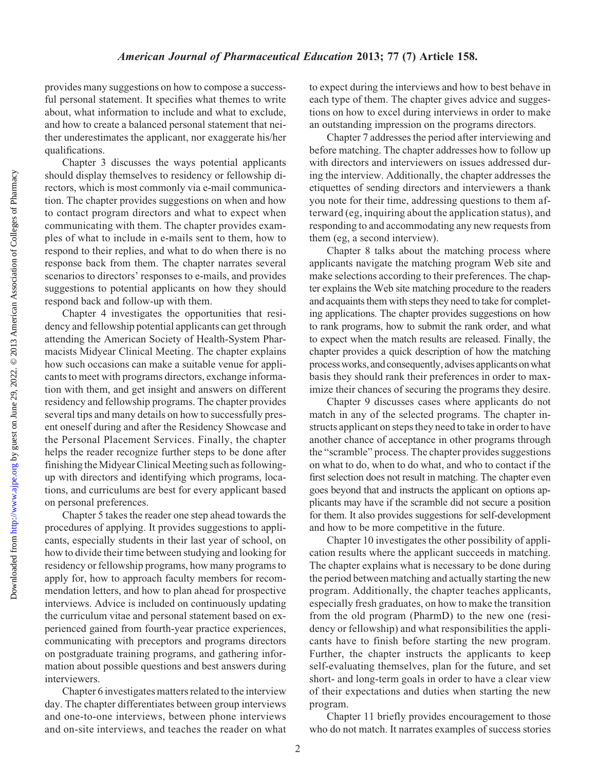provides many suggestions on how to compose a successful personal statement. It specifies what themes to write about, what information to include and what to exclude, and how to create a balanced personal statement that neither underestimates the applicant, nor exaggerate his/her qualifications.

Chapter 3 discusses the ways potential applicants should display themselves to residency or fellowship directors, which is most commonly via e-mail communication. The chapter provides suggestions on when and how to contact program directors and what to expect when communicating with them. The chapter provides examples of what to include in e-mails sent to them, how to respond to their replies, and what to do when there is no response back from them. The chapter narrates several scenarios to directors' responses to e-mails, and provides suggestions to potential applicants on how they should respond back and follow-up with them.

Chapter 4 investigates the opportunities that residency and fellowship potential applicants can get through attending the American Society of Health-System Pharmacists Midyear Clinical Meeting. The chapter explains how such occasions can make a suitable venue for applicants to meet with programs directors, exchange information with them, and get insight and answers on different residency and fellowship programs. The chapter provides several tips and many details on how to successfully present oneself during and after the Residency Showcase and the Personal Placement Services. Finally, the chapter helps the reader recognize further steps to be done after finishing the Midyear Clinical Meeting such as followingup with directors and identifying which programs, locations, and curriculums are best for every applicant based on personal preferences.

Chapter 5 takes the reader one step ahead towards the procedures of applying. It provides suggestions to applicants, especially students in their last year of school, on how to divide their time between studying and looking for residency or fellowship programs, how many programs to apply for, how to approach faculty members for recommendation letters, and how to plan ahead for prospective interviews. Advice is included on continuously updating the curriculum vitae and personal statement based on experienced gained from fourth-year practice experiences, communicating with preceptors and programs directors on postgraduate training programs, and gathering information about possible questions and best answers during interviewers.

Chapter 6 investigates matters related to the interview day. The chapter differentiates between group interviews and one-to-one interviews, between phone interviews and on-site interviews, and teaches the reader on what

to expect during the interviews and how to best behave in each type of them. The chapter gives advice and suggestions on how to excel during interviews in order to make an outstanding impression on the programs directors.

Chapter 7 addresses the period after interviewing and before matching. The chapter addresses how to follow up with directors and interviewers on issues addressed during the interview. Additionally, the chapter addresses the etiquettes of sending directors and interviewers a thank you note for their time, addressing questions to them afterward (eg, inquiring about the application status), and responding to and accommodating any new requests from them (eg, a second interview).

Chapter 8 talks about the matching process where applicants navigate the matching program Web site and make selections according to their preferences. The chapter explains the Web site matching procedure to the readers and acquaints them with steps they need to take for completing applications. The chapter provides suggestions on how to rank programs, how to submit the rank order, and what to expect when the match results are released. Finally, the chapter provides a quick description of how the matching process works, and consequently, advises applicants on what basis they should rank their preferences in order to maximize their chances of securing the programs they desire.

Chapter 9 discusses cases where applicants do not match in any of the selected programs. The chapter instructs applicant on steps they need to take in order to have another chance of acceptance in other programs through the "scramble" process. The chapter provides suggestions on what to do, when to do what, and who to contact if the first selection does not result in matching. The chapter even goes beyond that and instructs the applicant on options applicants may have if the scramble did not secure a position for them. It also provides suggestions for self-development and how to be more competitive in the future.

Chapter 10 investigates the other possibility of application results where the applicant succeeds in matching. The chapter explains what is necessary to be done during the period between matching and actually starting the new program. Additionally, the chapter teaches applicants, especially fresh graduates, on how to make the transition from the old program (PharmD) to the new one (residency or fellowship) and what responsibilities the applicants have to finish before starting the new program. Further, the chapter instructs the applicants to keep self-evaluating themselves, plan for the future, and set short- and long-term goals in order to have a clear view of their expectations and duties when starting the new program.

Chapter 11 briefly provides encouragement to those who do not match. It narrates examples of success stories